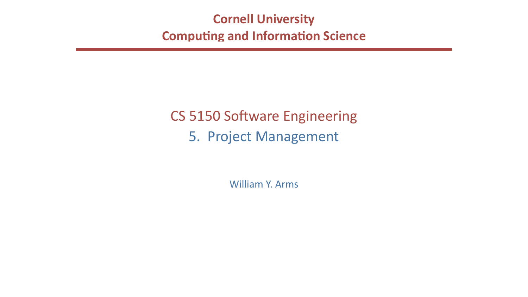## **Cornell University Computing and Information Science**

# CS 5150 Software Engineering 5. Project Management

William Y. Arms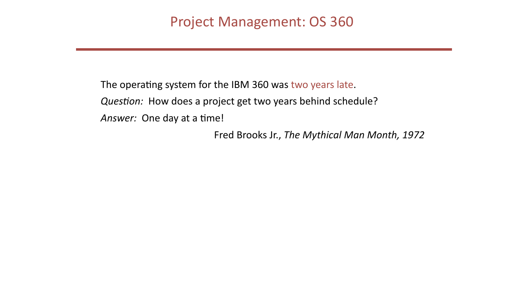The operating system for the IBM 360 was two years late. Question: How does a project get two years behind schedule? Answer: One day at a time!

- 
- 
- Fred Brooks Jr., The Mythical Man Month, 1972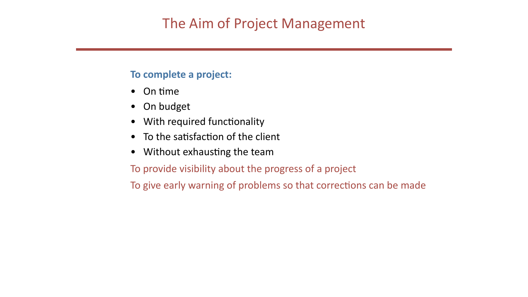## **To complete a project:**

- On time
- On budget
- With required functionality
- To the satisfaction of the client
- Without exhausting the team To provide visibility about the progress of a project To give early warning of problems so that corrections can be made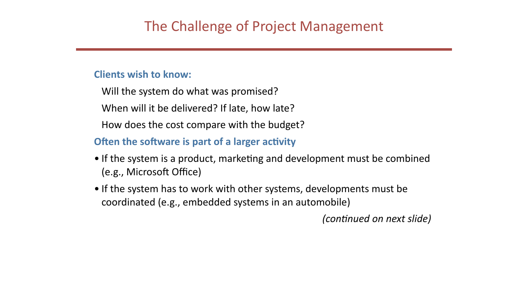### **Clients wish to know:**

- Will the system do what was promised? When will it be delivered? If late, how late?
- How does the cost compare with the budget?

## **Often the software is part of a larger activity**

- If the system is a product, marketing and development must be combined (e.g., Microsoft Office)
- If the system has to work with other systems, developments must be coordinated (e.g., embedded systems in an automobile)

*(continued on next slide)*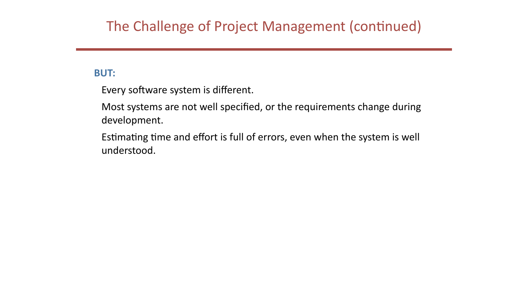## The Challenge of Project Management (continued)

### **BUT:**

Every software system is different.

Most systems are not well specified, or the requirements change during development.

Estimating time and effort is full of errors, even when the system is well understood.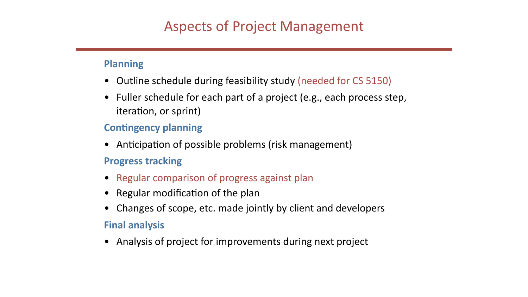### **Planning**

- Outline schedule during feasibility study (needed for CS 5150)
- Fuller schedule for each part of a project (e.g., each process step, iteration, or sprint)

## **Contingency planning**

- Anticipation of possible problems (risk management) **Progress tracking**
- Regular comparison of progress against plan
- Regular modification of the plan
- Changes of scope, etc. made jointly by client and developers

### **Final analysis**

• Analysis of project for improvements during next project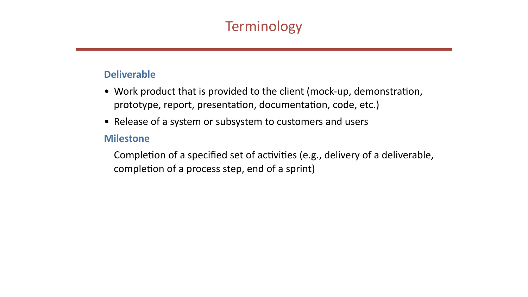

Completion of a specified set of activities (e.g., delivery of a deliverable,

### **Deliverable**

- Work product that is provided to the client (mock-up, demonstration, prototype, report, presentation, documentation, code, etc.)
- Release of a system or subsystem to customers and users

### **Milestone**

completion of a process step, end of a sprint)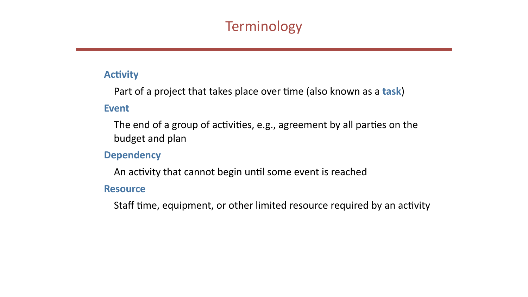### **Activity**



- Part of a project that takes place over time (also known as a task)
- The end of a group of activities, e.g., agreement by all parties on the

- 
- Staff time, equipment, or other limited resource required by an activity

### **Event**

budget and plan

**Dependency**

An activity that cannot begin until some event is reached

**Resource**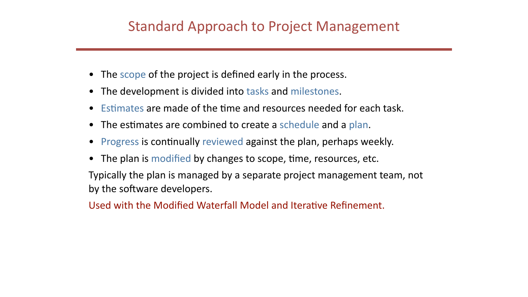## Standard Approach to Project Management

- The scope of the project is defined early in the process.
- The development is divided into tasks and milestones.
- Estimates are made of the time and resources needed for each task.
- The estimates are combined to create a schedule and a plan.
- Progress is continually reviewed against the plan, perhaps weekly.
- The plan is modified by changes to scope, time, resources, etc. Typically the plan is managed by a separate project management team, not by the software developers.

Used with the Modified Waterfall Model and Iterative Refinement.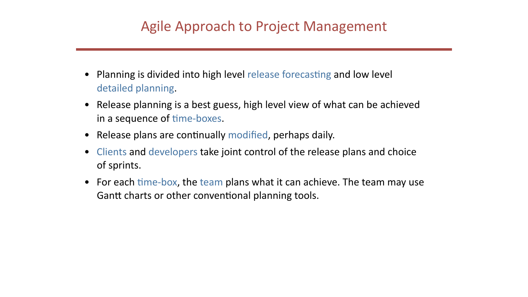- Planning is divided into high level release forecasting and low level detailed planning.
- Release planning is a best guess, high level view of what can be achieved in a sequence of time-boxes.
- Release plans are continually modified, perhaps daily.
- Clients and developers take joint control of the release plans and choice of sprints.
- For each time-box, the team plans what it can achieve. The team may use Gantt charts or other conventional planning tools.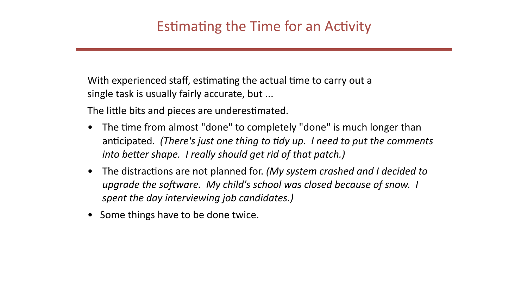With experienced staff, estimating the actual time to carry out a single task is usually fairly accurate, but ...

The little bits and pieces are underestimated.

- *into better shape. I really should get rid of that patch.)*
- *spent the day interviewing job candidates.)*
- Some things have to be done twice.

• The time from almost "done" to completely "done" is much longer than anticipated. (There's just one thing to tidy up. I need to put the comments

• The distractions are not planned for. (My system crashed and I decided to upgrade the software. My child's school was closed because of snow. I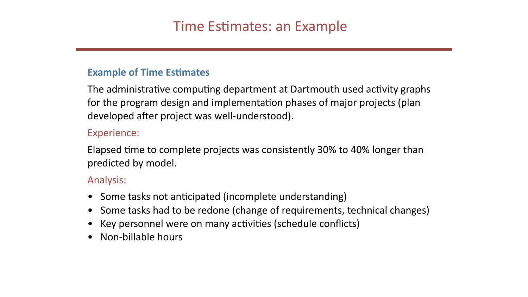## **Example of Time Estimates**

The administrative computing department at Dartmouth used activity graphs for the program design and implementation phases of major projects (plan developed after project was well-understood).

### Experience:

Elapsed time to complete projects was consistently 30% to 40% longer than predicted by model.

### Analysis:

- Some tasks not anticipated (incomplete understanding)
- 
- Key personnel were on many activities (schedule conflicts)
- Non-billable hours

• Some tasks had to be redone (change of requirements, technical changes)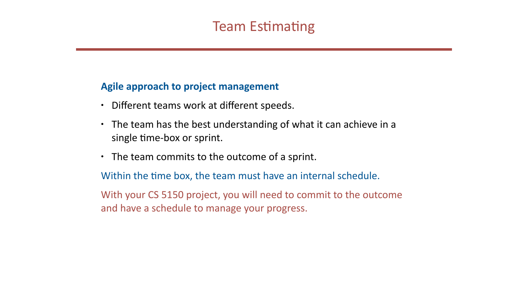## **Agile approach to project management**

- Different teams work at different speeds.
- The team has the best understanding of what it can achieve in a single time-box or sprint.
- The team commits to the outcome of a sprint. Within the time box, the team must have an internal schedule. With your CS 5150 project, you will need to commit to the outcome and have a schedule to manage your progress.
- 

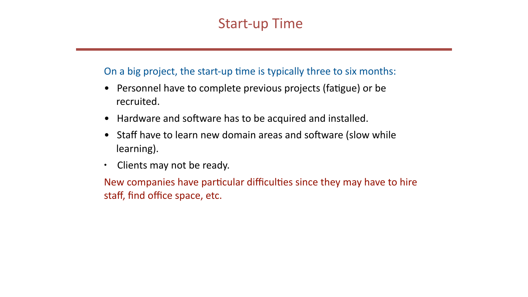## Start-up Time

- On a big project, the start-up time is typically three to six months: • Personnel have to complete previous projects (fatigue) or be recruited.
- Hardware and software has to be acquired and installed. • Staff have to learn new domain areas and software (slow while
- learning).
- Clients may not be ready.

staff, find office space, etc.

New companies have particular difficulties since they may have to hire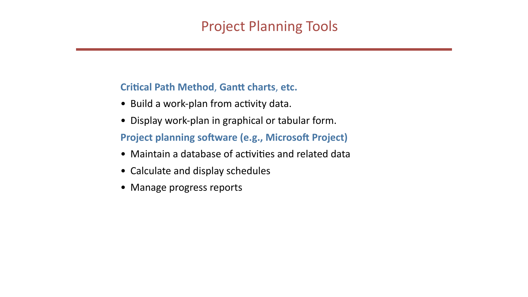## **Critical Path Method, Gantt charts, etc.**

- Build a work-plan from activity data.
- Display work-plan in graphical or tabular form. **Project planning software (e.g., Microsoft Project)**
- Maintain a database of activities and related data
- Calculate and display schedules
- Manage progress reports

# Project Planning Tools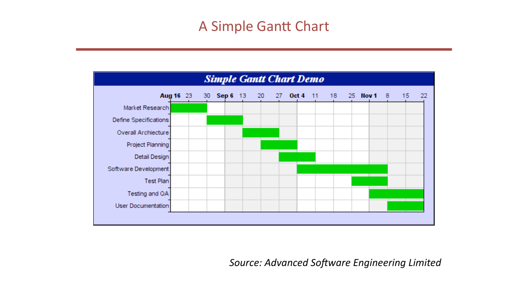

Source: Advanced Software Engineering Limited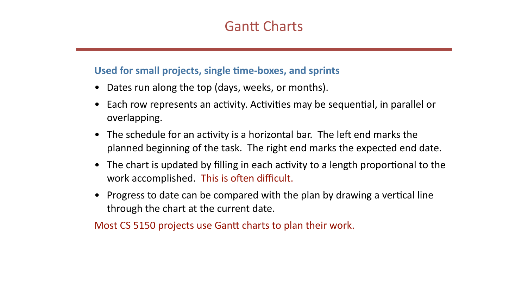## Used for small projects, single time-boxes, and sprints

- Dates run along the top (days, weeks, or months).
- Each row represents an activity. Activities may be sequential, in parallel or overlapping.
- The schedule for an activity is a horizontal bar. The left end marks the planned beginning of the task. The right end marks the expected end date.
- The chart is updated by filling in each activity to a length proportional to the work accomplished. This is often difficult.
- Progress to date can be compared with the plan by drawing a vertical line through the chart at the current date.

Most CS 5150 projects use Gantt charts to plan their work.

## **Gantt Charts**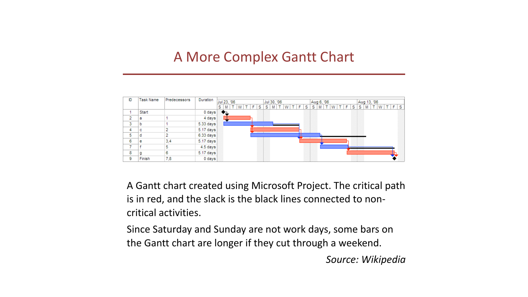## A More Complex Gantt Chart

| ID | <b>Task Name</b> | Predecessors | Duration  | Jul 23, '06           |
|----|------------------|--------------|-----------|-----------------------|
|    |                  |              |           | s<br>w<br>М<br>П<br>٠ |
| 1  | Start            |              | 0 days    |                       |
| 2  | а                | 1            | 4 days    |                       |
| 3  | b                | 1            | 5.33 days |                       |
| 4  | с                | 2            | 5.17 days |                       |
| 5  | d                | 2            | 6.33 days |                       |
| 6  | е                | 3,4          | 5.17 days |                       |
| 7  | f                | 5            | 4.5 days  |                       |
| 8  | g                | 6            | 5.17 days |                       |
| 9  | Finish           | 7,8          | 0 days    |                       |

A Gantt chart created using Microsoft Project. The critical path is in red, and the slack is the black lines connected to noncritical activities. 

Since Saturday and Sunday are not work days, some bars on the Gantt chart are longer if they cut through a weekend.



*Source: Wikipedia*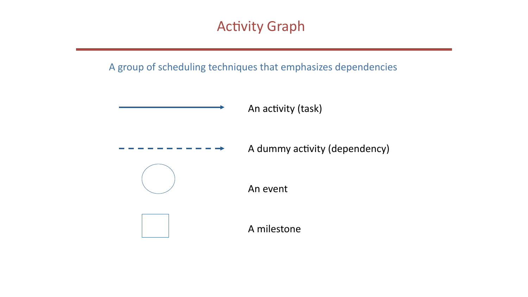



A group of scheduling techniques that emphasizes dependencies

An activity (task)

A dummy activity (dependency)

An event

A milestone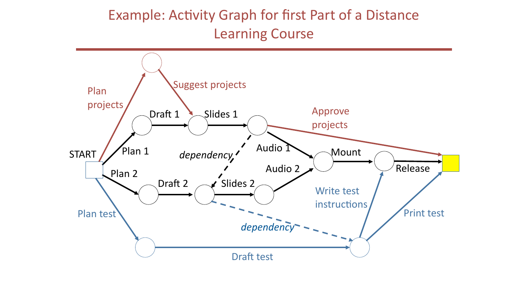## Example: Activity Graph for first Part of a Distance Learning Course

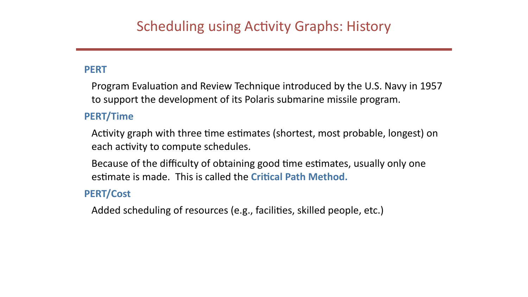### **PERT**

to support the development of its Polaris submarine missile program. **PERT/Time**

each activity to compute schedules.

### **PERT/Cost**

Added scheduling of resources (e.g., facilities, skilled people, etc.)

- Program Evaluation and Review Technique introduced by the U.S. Navy in 1957
- Activity graph with three time estimates (shortest, most probable, longest) on
- Because of the difficulty of obtaining good time estimates, usually only one estimate is made. This is called the Critical Path Method.
	-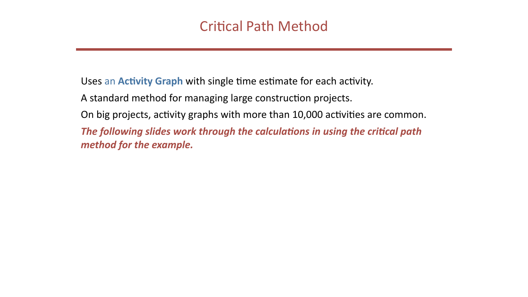Uses an Activity Graph with single time estimate for each activity. A standard method for managing large construction projects. method for the example.

- 
- 
- On big projects, activity graphs with more than 10,000 activities are common.
- The following slides work through the calculations in using the critical path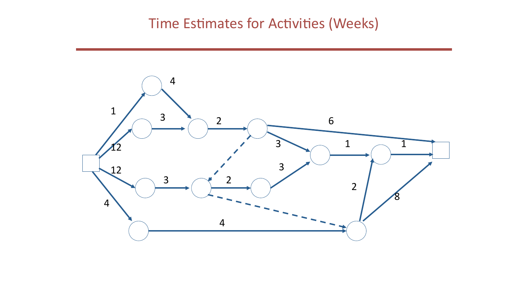## Time Estimates for Activities (Weeks)

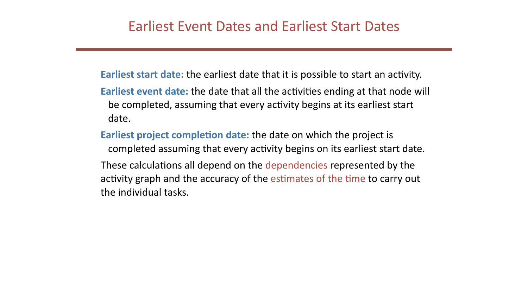- **Earliest start date:** the earliest date that it is possible to start an activity.
- **Earliest event date:** the date that all the activities ending at that node will be completed, assuming that every activity begins at its earliest start date.
- **Earliest project completion date:** the date on which the project is
	- completed assuming that every activity begins on its earliest start date.
- These calculations all depend on the dependencies represented by the activity graph and the accuracy of the estimates of the time to carry out the individual tasks.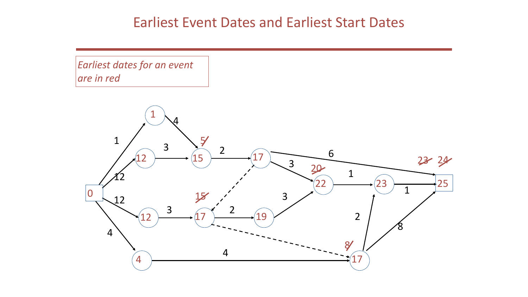## **Earliest Event Dates and Earliest Start Dates**

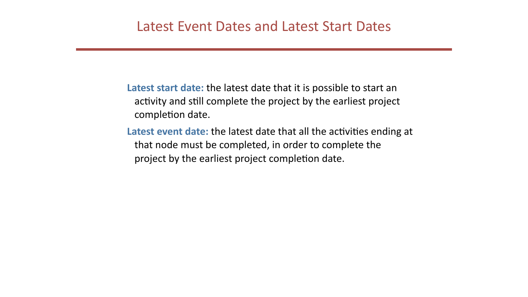completion date.

project by the earliest project completion date.

- Latest start date: the latest date that it is possible to start an activity and still complete the project by the earliest project
- Latest event date: the latest date that all the activities ending at that node must be completed, in order to complete the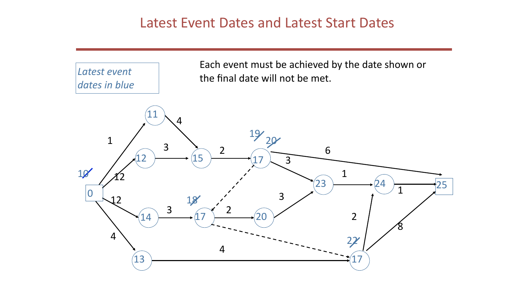## Latest Event Dates and Latest Start Dates

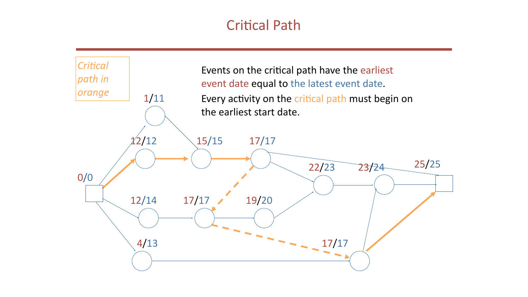## **Critical Path**

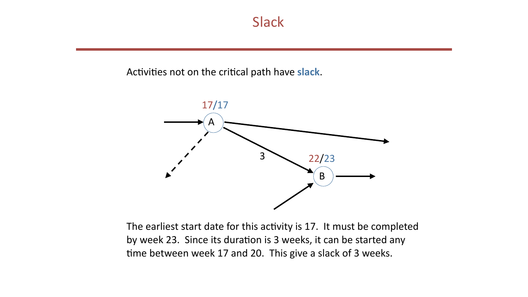

### Activities not on the critical path have slack.



The earliest start date for this activity is 17. It must be completed by week 23. Since its duration is 3 weeks, it can be started any time between week 17 and 20. This give a slack of 3 weeks.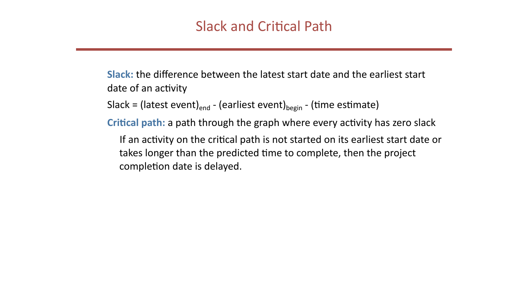**Slack:** the difference between the latest start date and the earliest start date of an activity

Slack = (latest event)<sub>end</sub> - (earliest event)<sub>begin</sub> - (time estimate)

completion date is delayed.

- 
- **Critical path:** a path through the graph where every activity has zero slack
	- If an activity on the critical path is not started on its earliest start date or takes longer than the predicted time to complete, then the project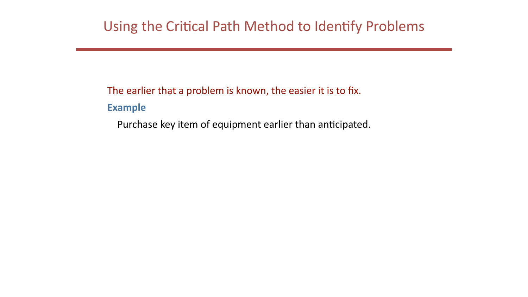The earlier that a problem is known, the easier it is to fix. **Example** Purchase key item of equipment earlier than anticipated.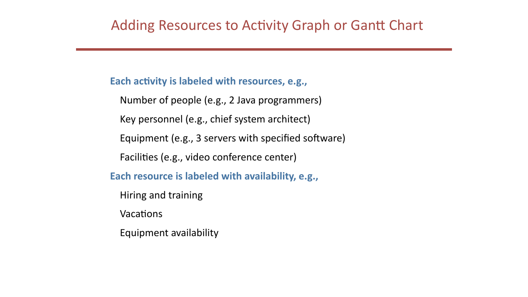## Adding Resources to Activity Graph or Gantt Chart

Each activity is labeled with resources, e.g., Number of people (e.g., 2 Java programmers) Key personnel (e.g., chief system architect) Equipment (e.g., 3 servers with specified software) Facilities (e.g., video conference center) **Each resource is labeled with availability, e.g.,** Hiring and training Vacations Equipment availability

- 
- 
- 
- 
- 
-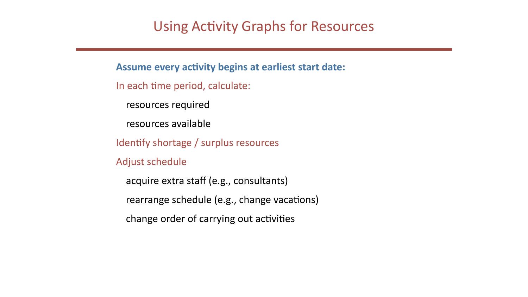## Using Activity Graphs for Resources

Assume every activity begins at earliest start date: In each time period, calculate: resources required resources available Identify shortage / surplus resources Adjust schedule acquire extra staff (e.g., consultants) rearrange schedule (e.g., change vacations) change order of carrying out activities

- 
- 
- 
- 
- 
-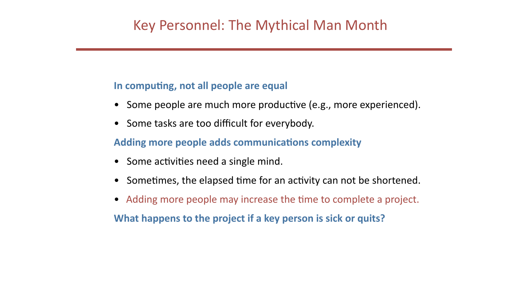## Key Personnel: The Mythical Man Month

### In computing, not all people are equal

- Some people are much more productive (e.g., more experienced).
- Some tasks are too difficult for everybody.

## **Adding more people adds communications complexity**

- Some activities need a single mind.
- Sometimes, the elapsed time for an activity can not be shortened.
- Adding more people may increase the time to complete a project. **What happens to the project if a key person is sick or quits?**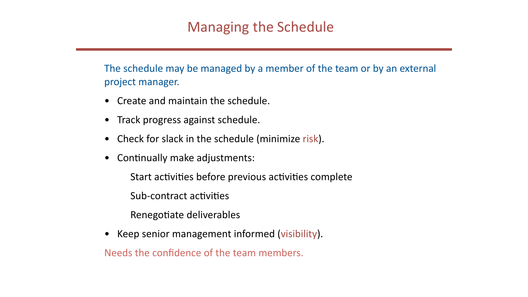The schedule may be managed by a member of the team or by an external project manager.

- Create and maintain the schedule.
- Track progress against schedule.
- Check for slack in the schedule (minimize risk).
- Continually make adjustments: Start activities before previous activities complete Sub-contract activities Renegotiate deliverables
- Keep senior management informed (visibility). Needs the confidence of the team members.
- 
-